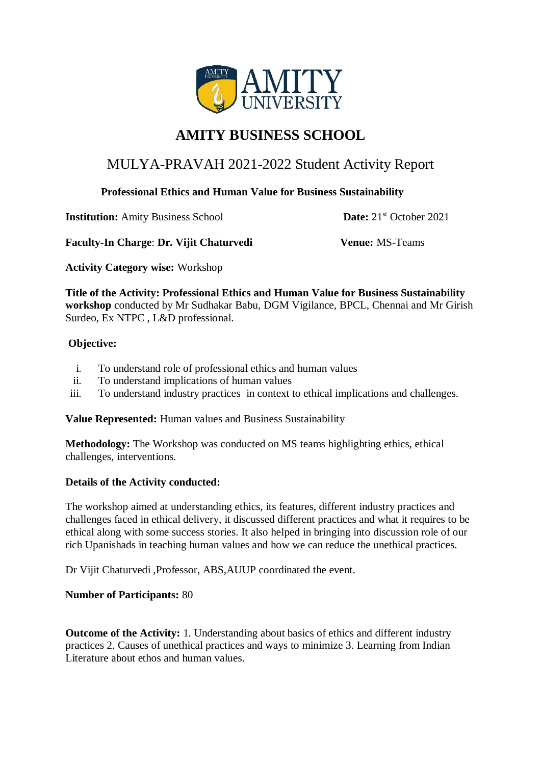

# **AMITY BUSINESS SCHOOL**

## MULYA-PRAVAH 2021-2022 Student Activity Report

#### **Professional Ethics and Human Value for Business Sustainability**

**Institution:** Amity Business School **Date:**  $21^{st}$  October 2021

**Faculty-In Charge**: **Dr. Vijit Chaturvedi Venue:** MS-Teams

**Activity Category wise:** Workshop

**Title of the Activity: Professional Ethics and Human Value for Business Sustainability workshop** conducted by Mr Sudhakar Babu, DGM Vigilance, BPCL, Chennai and Mr Girish Surdeo, Ex NTPC , L&D professional.

#### **Objective:**

- i. To understand role of professional ethics and human values
- ii. To understand implications of human values
- iii. To understand industry practices in context to ethical implications and challenges.

**Value Represented:** Human values and Business Sustainability

**Methodology:** The Workshop was conducted on MS teams highlighting ethics, ethical challenges, interventions.

### **Details of the Activity conducted:**

The workshop aimed at understanding ethics, its features, different industry practices and challenges faced in ethical delivery, it discussed different practices and what it requires to be ethical along with some success stories. It also helped in bringing into discussion role of our rich Upanishads in teaching human values and how we can reduce the unethical practices.

Dr Vijit Chaturvedi ,Professor, ABS,AUUP coordinated the event.

#### **Number of Participants:** 80

**Outcome of the Activity:** 1. Understanding about basics of ethics and different industry practices 2. Causes of unethical practices and ways to minimize 3. Learning from Indian Literature about ethos and human values.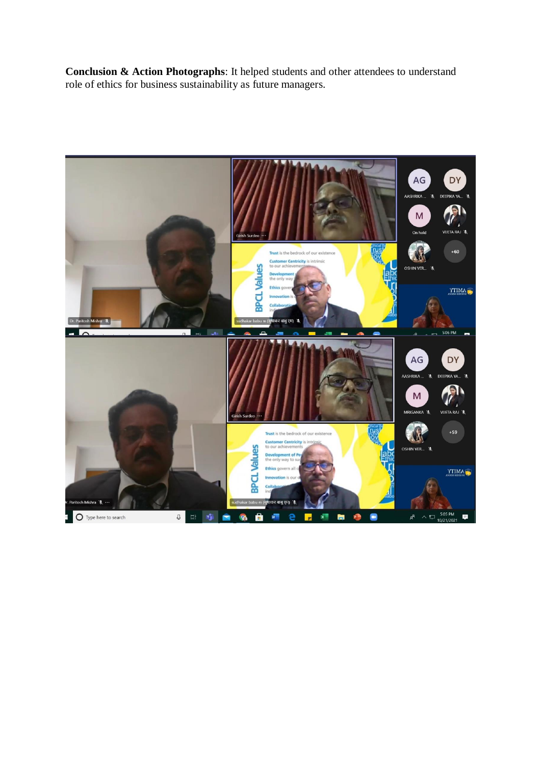**Conclusion & Action Photographs**: It helped students and other attendees to understand role of ethics for business sustainability as future managers.